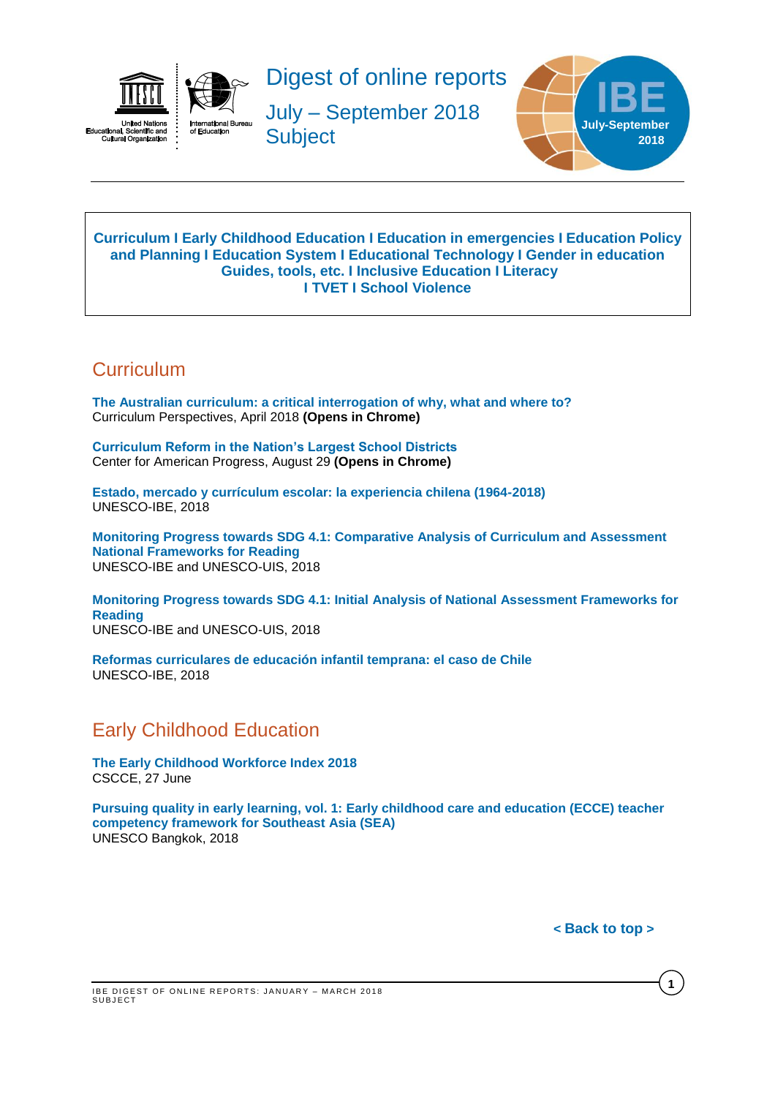



Digest of online reports

July – September 2018 **Subject** 



#### <span id="page-0-2"></span>**[Curriculum](#page-0-0) I [Early Childhood Education](#page-0-1) I [Education in emergencies](#page-1-0) I [Education Policy](#page-1-1)  [and Planning](#page-1-1) I [Education](#page-1-2) System I [Educational Technology](#page-1-3) I [Gender in education](#page-1-4) [Guides,](#page-2-0) tools, etc. I [Inclusive Education](#page-2-1) I [Literacy](#page-2-2) I TVET I [School Violence](#page-2-3)**

# <span id="page-0-0"></span>**Curriculum**

**[The Australian curriculum: a critical interrogation of why, what and where to?](https://link.springer.com/article/10.1007/s41297-017-0033-7)** Curriculum Perspectives, April 2018 **(Opens in Chrome)**

**[Curriculum Reform in the Nation's Largest School Districts](https://www.americanprogress.org/issues/education-k-12/reports/2018/08/29/454705/curriculum-reform-nations-largest-school-districts/)** Center for American Progress, August 29 **(Opens in Chrome)**

**[Estado, mercado y currículum escolar: la experiencia chilena \(1964-2018\)](http://unesdoc.unesco.org/images/0026/002652/265296s.pdf)** UNESCO-IBE, 2018

**[Monitoring Progress towards SDG 4.1: Comparative Analysis of Curriculum and Assessment](http://unesdoc.unesco.org/images/0026/002656/265622e.pdf)  [National Frameworks for Reading](http://unesdoc.unesco.org/images/0026/002656/265622e.pdf)** UNESCO-IBE and UNESCO-UIS, 2018

**[Monitoring Progress towards SDG 4.1: Initial Analysis of National Assessment Frameworks for](http://unesdoc.unesco.org/images/0026/002656/265621e.pdf)  [Reading](http://unesdoc.unesco.org/images/0026/002656/265621e.pdf)** UNESCO-IBE and UNESCO-UIS, 2018

**[Reformas curriculares de educación infantil temprana: el caso de Chile](http://unesdoc.unesco.org/images/0026/002652/265297S.pdf)** UNESCO-IBE, 2018

# <span id="page-0-1"></span>Early Childhood Education

**[The Early Childhood Workforce Index 2018](http://cscce.berkeley.edu/early-childhood-workforce-2018-index/)** CSCCE, 27 June

**[Pursuing quality in early learning, vol. 1: Early childhood care and education \(ECCE\) teacher](http://unesdoc.unesco.org/images/0026/002652/265271e.pdf)  [competency framework for Southeast Asia \(SEA\)](http://unesdoc.unesco.org/images/0026/002652/265271e.pdf)** UNESCO Bangkok, 2018

**< [Back](#page-0-2) to top >**

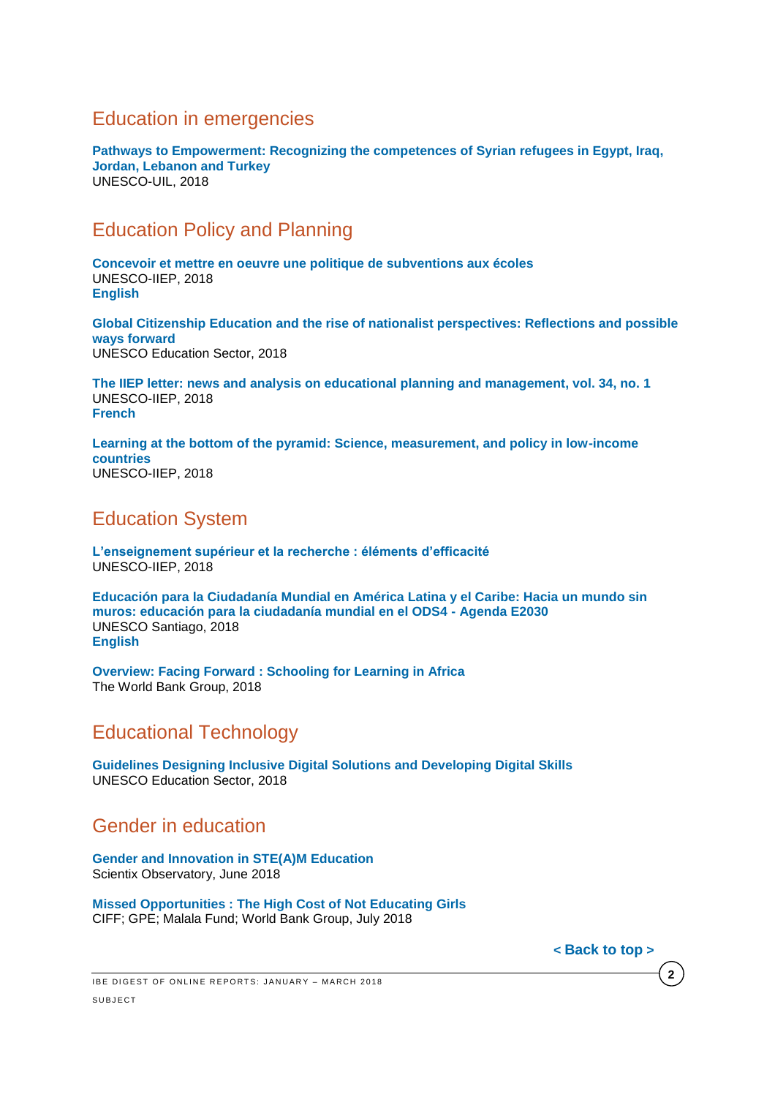# <span id="page-1-0"></span>Education in emergencies

**[Pathways to Empowerment: Recognizing the competences of Syrian refugees in Egypt, Iraq,](http://unesdoc.unesco.org/images/0026/002629/262918e.pdf)  [Jordan, Lebanon and Turkey](http://unesdoc.unesco.org/images/0026/002629/262918e.pdf)** UNESCO-UIL, 2018

# <span id="page-1-1"></span>Education Policy and Planning

**[Concevoir et mettre en oeuvre une politique de subventions aux écoles](http://unesdoc.unesco.org/images/0026/002651/265168f.pdf)** UNESCO-IIEP, 2018 **[English](http://unesdoc.unesco.org/images/0026/002651/265168e.pdf)**

**[Global Citizenship Education and the rise of nationalist perspectives: Reflections and possible](http://unesdoc.unesco.org/images/0026/002654/265414e.pdf)  [ways forward](http://unesdoc.unesco.org/images/0026/002654/265414e.pdf)** UNESCO Education Sector, 2018

**[The IIEP letter: news and analysis on educational planning and management, vol. 34, no. 1](http://unesdoc.unesco.org/images/0026/002651/265179e.pdf)** UNESCO-IIEP, 2018 **[French](http://unesdoc.unesco.org/images/0026/002651/265179f.pdf)**

**Learning [at the bottom of the pyramid: Science, measurement, and policy in low-income](http://unesdoc.unesco.org/images/0026/002655/265581E.pdf)  [countries](http://unesdoc.unesco.org/images/0026/002655/265581E.pdf)** UNESCO-IIEP, 2018

# <span id="page-1-2"></span>Education System

**[L'enseignement supérieur et la recherche : éléments d'efficacité](http://unesdoc.unesco.org/images/0026/002654/265448f.pdf)** UNESCO-IIEP, 2018

**[Educación para la Ciudadanía Mundial en América Latina y el Caribe: Hacia un mundo sin](http://unesdoc.unesco.org/images/0026/002655/265517s.pdf)  [muros: educación para la ciudadanía mundial en el ODS4 -](http://unesdoc.unesco.org/images/0026/002655/265517s.pdf) Agenda E2030** UNESCO Santiago, 2018 **[English](http://unesdoc.unesco.org/images/0026/002655/265517e.pdf)**

**Overview: Facing Forward [: Schooling for Learning in Africa](https://openknowledge.worldbank.org/bitstream/handle/10986/29377/211260ov.pdf?sequence=6&isAllowed=y)** The World Bank Group, 2018

# <span id="page-1-3"></span>Educational Technology

**[Guidelines Designing Inclusive Digital Solutions and Developing Digital Skills](http://unesdoc.unesco.org/images/0026/002655/265537E.pdf)** UNESCO Education Sector, 2018

## <span id="page-1-4"></span>Gender in education

**[Gender and Innovation in STE\(A\)M Education](http://www.scientix.eu/documents/10137/752677/Scientix-SPNE12-Gender-Innovation-STEAM_Final.pdf/e907b19e-0863-4502-a396-9ad6a5184be0)** Scientix Observatory, June 2018

**[Missed Opportunities : The High Cost of Not Educating Girls](https://reliefweb.int/sites/reliefweb.int/files/resources/HighCostOfNotEducatingGirls.pdf)** CIFF; GPE; Malala Fund; World Bank Group, July 2018

**< [Back](#page-0-2) to top >**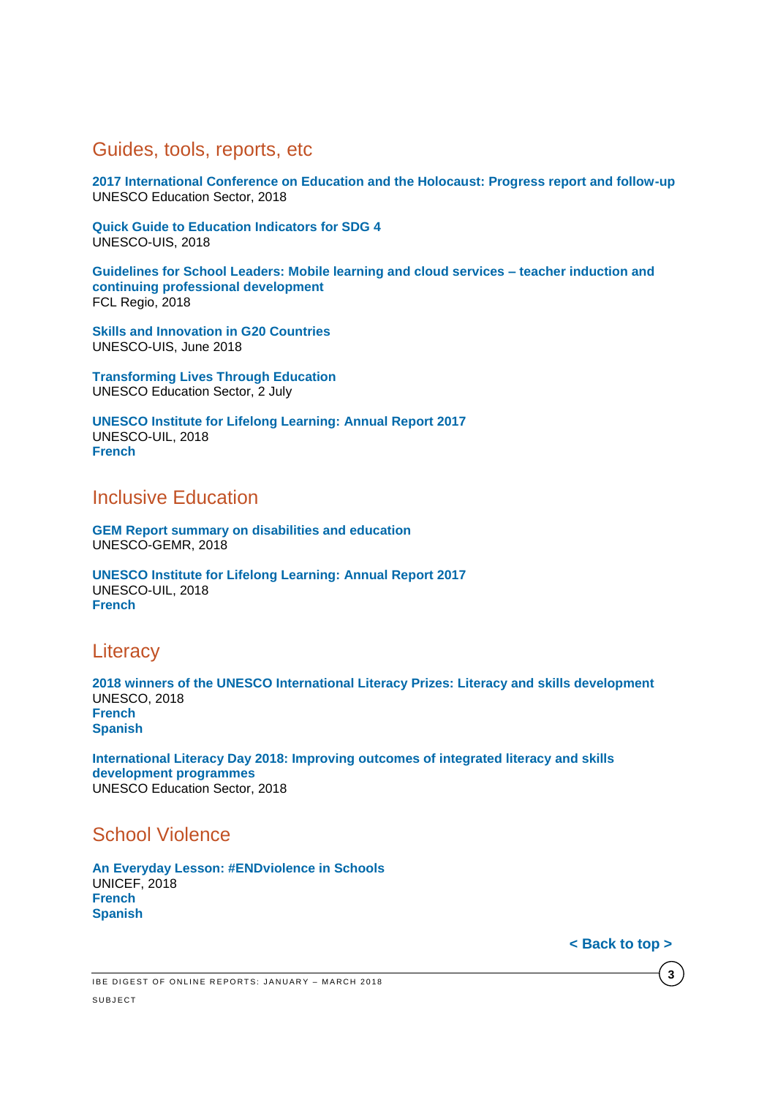#### <span id="page-2-0"></span>Guides, tools, reports, etc

**[2017 International Conference on Education and the Holocaust: Progress report and follow-up](http://unesdoc.unesco.org/images/0026/002651/265199e.pdf)** UNESCO Education Sector, 2018

**[Quick Guide to Education Indicators for SDG 4](http://uis.unesco.org/sites/default/files/documents/quick-guide-education-indicators-sdg4-2018-en.pdf)** UNESCO-UIS, 2018

**[Guidelines for School Leaders: Mobile learning and cloud services –](http://fcl.eun.org/documents/10180/985765/FCL+Regio_Guidelines_y2.pdf/54ffb2f3-1f66-4183-a62e-1bf2d42f6047) teacher induction and [continuing professional development](http://fcl.eun.org/documents/10180/985765/FCL+Regio_Guidelines_y2.pdf/54ffb2f3-1f66-4183-a62e-1bf2d42f6047)** FCL Regio, 2018

**[Skills and Innovation in G20 Countries](http://unesdoc.unesco.org/images/0026/002655/265503e.pdf)** UNESCO-UIS, June 2018

**[Transforming Lives Through Education](http://unesdoc.unesco.org/images/0026/002640/264088m.pdf)** UNESCO Education Sector, 2 July

**[UNESCO Institute for Lifelong Learning: Annual Report 2017](http://unesdoc.unesco.org/images/0026/002651/265173e.pdf)** UNESCO-UIL, 2018 **[French](http://unesdoc.unesco.org/images/0026/002651/265173F.pdf)**

## <span id="page-2-1"></span>Inclusive Education

**[GEM Report summary on disabilities and education](http://unesdoc.unesco.org/images/0026/002653/265353e.pdf)** UNESCO-GEMR, 2018

**[UNESCO Institute for Lifelong Learning: Annual Report 2017](http://unesdoc.unesco.org/images/0026/002651/265173e.pdf)** UNESCO-UIL, 2018 **[French](http://unesdoc.unesco.org/images/0026/002651/265173F.pdf)**

### <span id="page-2-2"></span>**Literacy**

**[2018 winners of the UNESCO International Literacy Prizes: Literacy and skills development](http://unesdoc.unesco.org/images/0026/002655/265571e.pdf)** UNESCO, 2018 **[French](http://unesdoc.unesco.org/images/0026/002655/265571f.pdf) [Spanish](http://unesdoc.unesco.org/images/0026/002655/265571s.pdf)**

**[International Literacy Day 2018: Improving outcomes of integrated literacy and skills](http://unesdoc.unesco.org/images/0026/002655/265586e.pdf)  [development programmes](http://unesdoc.unesco.org/images/0026/002655/265586e.pdf)** UNESCO Education Sector, 2018

## <span id="page-2-3"></span>School Violence

**[An Everyday Lesson: #ENDviolence in Schools](https://www.unicef.org/publications/files/An_Everyday_Lesson-ENDviolence_in_Schools.pdf)** UNICEF, 2018 **[French](https://www.unicef.org/french/publications/files/An_Everyday_Lesson-ENDviolence_in_Schools_Fr.pdf) [Spanish](https://www.unicef.org/spanish/publications/files/An_Everyday_Lesson-ENDviolence_in_Schools_Sp.pdf)**

**[< Back to top >](#page-0-2)**

**3**